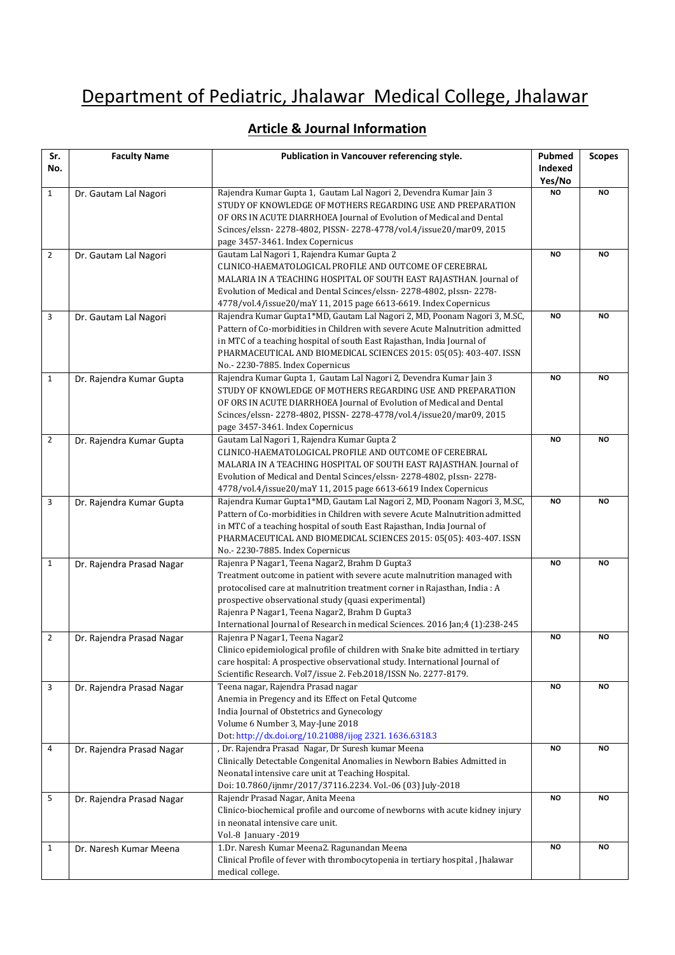## Department of Pediatric, Jhalawar Medical College, Jhalawar

## **Article & Journal Information**

| Sr.            | <b>Faculty Name</b>       | Publication in Vancouver referencing style.                                                                                                              | Pubmed<br>Indexed | <b>Scopes</b> |
|----------------|---------------------------|----------------------------------------------------------------------------------------------------------------------------------------------------------|-------------------|---------------|
| No.            |                           |                                                                                                                                                          | Yes/No            |               |
| $\mathbf{1}$   | Dr. Gautam Lal Nagori     | Rajendra Kumar Gupta 1, Gautam Lal Nagori 2, Devendra Kumar Jain 3                                                                                       | <b>NO</b>         | NO            |
|                |                           | STUDY OF KNOWLEDGE OF MOTHERS REGARDING USE AND PREPARATION<br>OF ORS IN ACUTE DIARRHOEA Journal of Evolution of Medical and Dental                      |                   |               |
|                |                           | Scinces/elssn-2278-4802, PISSN-2278-4778/vol.4/issue20/mar09, 2015                                                                                       |                   |               |
|                |                           | page 3457-3461. Index Copernicus                                                                                                                         |                   |               |
| $\overline{2}$ | Dr. Gautam Lal Nagori     | Gautam Lal Nagori 1, Rajendra Kumar Gupta 2                                                                                                              | <b>NO</b>         | NO            |
|                |                           | CLINICO-HAEMATOLOGICAL PROFILE AND OUTCOME OF CEREBRAL                                                                                                   |                   |               |
|                |                           | MALARIA IN A TEACHING HOSPITAL OF SOUTH EAST RAJASTHAN. Journal of                                                                                       |                   |               |
|                |                           | Evolution of Medical and Dental Scinces/elssn-2278-4802, pIssn-2278-                                                                                     |                   |               |
|                |                           | 4778/vol.4/issue20/maY 11, 2015 page 6613-6619. Index Copernicus                                                                                         |                   |               |
| 3              | Dr. Gautam Lal Nagori     | Rajendra Kumar Gupta1*MD, Gautam Lal Nagori 2, MD, Poonam Nagori 3, M.SC,                                                                                | <b>NO</b>         | <b>NO</b>     |
|                |                           | Pattern of Co-morbidities in Children with severe Acute Malnutrition admitted<br>in MTC of a teaching hospital of south East Rajasthan, India Journal of |                   |               |
|                |                           | PHARMACEUTICAL AND BIOMEDICAL SCIENCES 2015: 05(05): 403-407. ISSN                                                                                       |                   |               |
|                |                           | No.- 2230-7885. Index Copernicus                                                                                                                         |                   |               |
| $\mathbf{1}$   | Dr. Rajendra Kumar Gupta  | Rajendra Kumar Gupta 1, Gautam Lal Nagori 2, Devendra Kumar Jain 3                                                                                       | <b>NO</b>         | <b>NO</b>     |
|                |                           | STUDY OF KNOWLEDGE OF MOTHERS REGARDING USE AND PREPARATION                                                                                              |                   |               |
|                |                           | OF ORS IN ACUTE DIARRHOEA Journal of Evolution of Medical and Dental                                                                                     |                   |               |
|                |                           | Scinces/elssn-2278-4802, PISSN-2278-4778/vol.4/issue20/mar09, 2015                                                                                       |                   |               |
|                |                           | page 3457-3461. Index Copernicus                                                                                                                         |                   |               |
| $\overline{2}$ | Dr. Rajendra Kumar Gupta  | Gautam Lal Nagori 1, Rajendra Kumar Gupta 2                                                                                                              | <b>NO</b>         | NO            |
|                |                           | CLINICO-HAEMATOLOGICAL PROFILE AND OUTCOME OF CEREBRAL                                                                                                   |                   |               |
|                |                           | MALARIA IN A TEACHING HOSPITAL OF SOUTH EAST RAJASTHAN. Journal of                                                                                       |                   |               |
|                |                           | Evolution of Medical and Dental Scinces/elssn-2278-4802, pIssn-2278-<br>4778/vol.4/issue20/maY 11, 2015 page 6613-6619 Index Copernicus                  |                   |               |
| 3              | Dr. Rajendra Kumar Gupta  | Rajendra Kumar Gupta1*MD, Gautam Lal Nagori 2, MD, Poonam Nagori 3, M.SC,                                                                                | <b>NO</b>         | NO            |
|                |                           | Pattern of Co-morbidities in Children with severe Acute Malnutrition admitted                                                                            |                   |               |
|                |                           | in MTC of a teaching hospital of south East Rajasthan, India Journal of                                                                                  |                   |               |
|                |                           | PHARMACEUTICAL AND BIOMEDICAL SCIENCES 2015: 05(05): 403-407. ISSN                                                                                       |                   |               |
|                |                           | No.- 2230-7885. Index Copernicus                                                                                                                         |                   |               |
| $\mathbf{1}$   | Dr. Rajendra Prasad Nagar | Rajenra P Nagar1, Teena Nagar2, Brahm D Gupta3                                                                                                           | <b>NO</b>         | <b>NO</b>     |
|                |                           | Treatment outcome in patient with severe acute malnutrition managed with                                                                                 |                   |               |
|                |                           | protocolised care at malnutrition treatment corner in Rajasthan, India : A                                                                               |                   |               |
|                |                           | prospective observational study (quasi experimental)<br>Rajenra P Nagar1, Teena Nagar2, Brahm D Gupta3                                                   |                   |               |
|                |                           | International Journal of Research in medical Sciences. 2016 Jan;4 (1):238-245                                                                            |                   |               |
| $\overline{2}$ | Dr. Rajendra Prasad Nagar | Rajenra P Nagar1, Teena Nagar2                                                                                                                           | <b>NO</b>         | NO            |
|                |                           | Clinico epidemiological profile of children with Snake bite admitted in tertiary                                                                         |                   |               |
|                |                           | care hospital: A prospective observational study. International Journal of                                                                               |                   |               |
|                |                           | Scientific Research. Vol7/issue 2. Feb.2018/ISSN No. 2277-8179.                                                                                          |                   |               |
| 3              | Dr. Rajendra Prasad Nagar | Teena nagar, Rajendra Prasad nagar                                                                                                                       | <b>NO</b>         | <b>NO</b>     |
|                |                           | Anemia in Pregency and its Effect on Fetal Qutcome                                                                                                       |                   |               |
|                |                           | India Journal of Obstetrics and Gynecology                                                                                                               |                   |               |
|                |                           | Volume 6 Number 3, May-June 2018                                                                                                                         |                   |               |
|                |                           | Dot: http://dx.doi.org/10.21088/ijog 2321. 1636.6318.3                                                                                                   | <b>NO</b>         | <b>NO</b>     |
| 4              | Dr. Rajendra Prasad Nagar | , Dr. Rajendra Prasad Nagar, Dr Suresh kumar Meena<br>Clinically Detectable Congenital Anomalies in Newborn Babies Admitted in                           |                   |               |
|                |                           | Neonatal intensive care unit at Teaching Hospital.                                                                                                       |                   |               |
|                |                           | Doi: 10.7860/ijnmr/2017/37116.2234. Vol.-06 (03) July-2018                                                                                               |                   |               |
| 5              | Dr. Rajendra Prasad Nagar | Rajendr Prasad Nagar, Anita Meena                                                                                                                        | <b>NO</b>         | <b>NO</b>     |
|                |                           | Clinico-biochemical profile and ourcome of newborns with acute kidney injury                                                                             |                   |               |
|                |                           | in neonatal intensive care unit.                                                                                                                         |                   |               |
|                |                           | Vol.-8 January -2019                                                                                                                                     |                   |               |
| $\mathbf{1}$   | Dr. Naresh Kumar Meena    | 1.Dr. Naresh Kumar Meena2. Ragunandan Meena                                                                                                              | <b>NO</b>         | NO.           |
|                |                           | Clinical Profile of fever with thrombocytopenia in tertiary hospital, Jhalawar                                                                           |                   |               |
|                |                           | medical college.                                                                                                                                         |                   |               |